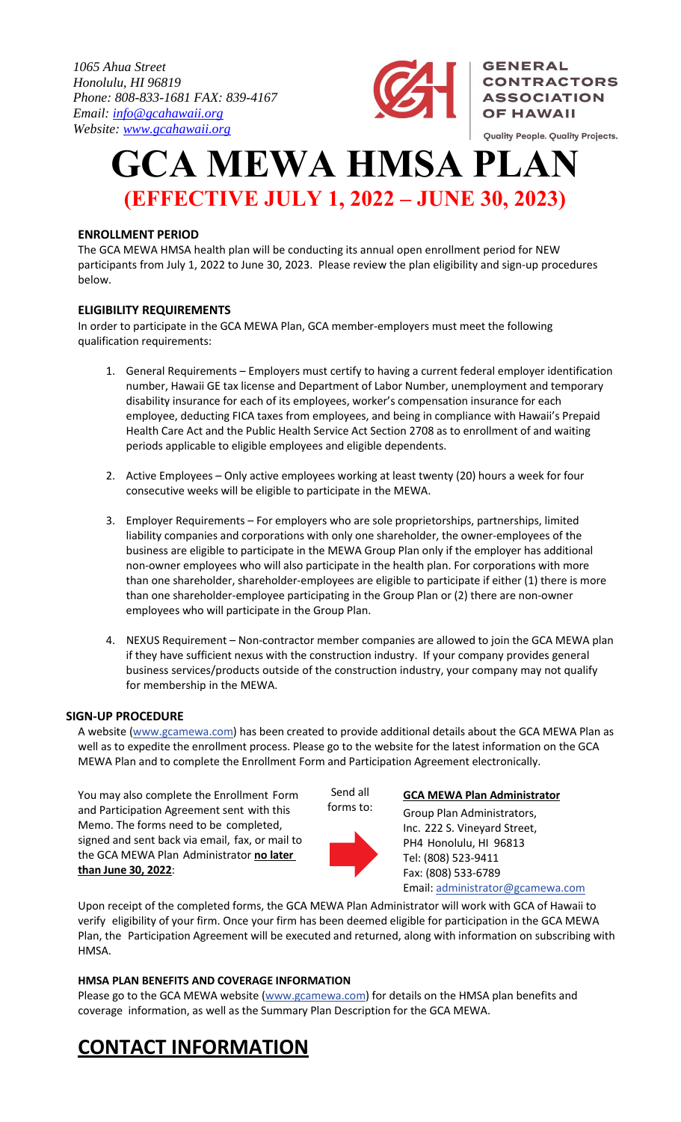*1065 Ahua Street Honolulu, HI 96819 Phone: 808-833-1681 FAX: 839-4167 Email: info@gcahawaii.org Website: www.gcahawaii.org*



**GENERAL** 

**CONTRACTORS ASSOCIATION OF HAWAII** 

Quality People. Quality Projects.

**GCA MEWA HMSA PLAN (EFFECTIVE JULY 1, 2022 – JUNE 30, 2023)** 

### **ENROLLMENT PERIOD**

The GCA MEWA HMSA health plan will be conducting its annual open enrollment period for NEW participants from July 1, 2022 to June 30, 2023. Please review the plan eligibility and sign‐up procedures below.

#### **ELIGIBILITY REQUIREMENTS**

In order to participate in the GCA MEWA Plan, GCA member‐employers must meet the following qualification requirements:

- 1. General Requirements Employers must certify to having a current federal employer identification number, Hawaii GE tax license and Department of Labor Number, unemployment and temporary disability insurance for each of its employees, worker's compensation insurance for each employee, deducting FICA taxes from employees, and being in compliance with Hawaii's Prepaid Health Care Act and the Public Health Service Act Section 2708 as to enrollment of and waiting periods applicable to eligible employees and eligible dependents.
- 2. Active Employees Only active employees working at least twenty (20) hours a week for four consecutive weeks will be eligible to participate in the MEWA.
- 3. Employer Requirements For employers who are sole proprietorships, partnerships, limited liability companies and corporations with only one shareholder, the owner‐employees of the business are eligible to participate in the MEWA Group Plan only if the employer has additional non-owner employees who will also participate in the health plan. For corporations with more than one shareholder, shareholder-employees are eligible to participate if either (1) there is more than one shareholder‐employee participating in the Group Plan or (2) there are non‐owner employees who will participate in the Group Plan.
- 4. NEXUS Requirement Non-contractor member companies are allowed to join the GCA MEWA plan if they have sufficient nexus with the construction industry. If your company provides general business services/products outside of the construction industry, your company may not qualify for membership in the MEWA.

#### **SIGN‐UP PROCEDURE**

A website (www.gcamewa.com) has been created to provide additional details about the GCA MEWA Plan as well as to expedite the enrollment process. Please go to the website for the latest information on the GCA MEWA Plan and to complete the Enrollment Form and Participation Agreement electronically.

You may also complete the Enrollment Form and Participation Agreement sent with this Memo. The forms need to be completed, signed and sent back via email, fax, or mail to the GCA MEWA Plan Administrator **no later than June 30, 2022**:



Send all

#### **GCA MEWA Plan Administrator**

Group Plan Administrators, Inc. 222 S. Vineyard Street, PH4 Honolulu, HI 96813 Tel: (808) 523‐9411 Fax: (808) 533‐6789 Email: administrator@gcamewa.com

Upon receipt of the completed forms, the GCA MEWA Plan Administrator will work with GCA of Hawaii to verify eligibility of your firm. Once your firm has been deemed eligible for participation in the GCA MEWA Plan, the Participation Agreement will be executed and returned, along with information on subscribing with HMSA.

#### **HMSA PLAN BENEFITS AND COVERAGE INFORMATION**

Please go to the GCA MEWA website (www.gcamewa.com) for details on the HMSA plan benefits and coverage information, as well as the Summary Plan Description for the GCA MEWA.

## **CONTACT INFORMATION**